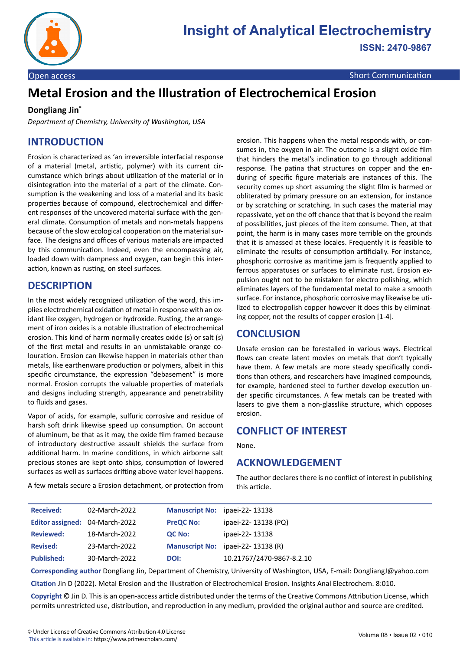

Open access Short Communication and Communication and Communication and Communication and Communication and Co

# **Metal Erosion and the Illustration of Electrochemical Erosion**

#### **Dongliang Jin\***

*Department of Chemistry, University of Washington, USA*

# **INTRODUCTION**

Erosion is characterized as 'an irreversible interfacial response of a material (metal, artistic, polymer) with its current circumstance which brings about utilization of the material or in disintegration into the material of a part of the climate. Consumption is the weakening and loss of a material and its basic properties because of compound, electrochemical and different responses of the uncovered material surface with the general climate. Consumption of metals and non-metals happens because of the slow ecological cooperation on the material surface. The designs and offices of various materials are impacted by this communication. Indeed, even the encompassing air, loaded down with dampness and oxygen, can begin this interaction, known as rusting, on steel surfaces.

## **DESCRIPTION**

In the most widely recognized utilization of the word, this implies electrochemical oxidation of metal in response with an oxidant like oxygen, hydrogen or hydroxide. Rusting, the arrangement of iron oxides is a notable illustration of electrochemical erosion. This kind of harm normally creates oxide (s) or salt (s) of the first metal and results in an unmistakable orange colouration. Erosion can likewise happen in materials other than metals, like earthenware production or polymers, albeit in this specific circumstance, the expression "debasement" is more normal. Erosion corrupts the valuable properties of materials and designs including strength, appearance and penetrability to fluids and gases.

Vapor of acids, for example, sulfuric corrosive and residue of harsh soft drink likewise speed up consumption. On account of aluminum, be that as it may, the oxide film framed because of introductory destructive assault shields the surface from additional harm. In marine conditions, in which airborne salt precious stones are kept onto ships, consumption of lowered surfaces as well as surfaces drifting above water level happens.

A few metals secure a Erosion detachment, or protection from

erosion. This happens when the metal responds with, or consumes in, the oxygen in air. The outcome is a slight oxide film that hinders the metal's inclination to go through additional response. The patina that structures on copper and the enduring of specific figure materials are instances of this. The security comes up short assuming the slight film is harmed or obliterated by primary pressure on an extension, for instance or by scratching or scratching. In such cases the material may repassivate, yet on the off chance that that is beyond the realm of possibilities, just pieces of the item consume. Then, at that point, the harm is in many cases more terrible on the grounds that it is amassed at these locales. Frequently it is feasible to eliminate the results of consumption artificially. For instance, phosphoric corrosive as maritime jam is frequently applied to ferrous apparatuses or surfaces to eliminate rust. Erosion expulsion ought not to be mistaken for electro polishing, which eliminates layers of the fundamental metal to make a smooth surface. For instance, phosphoric corrosive may likewise be utilized to electropolish copper however it does this by eliminating copper, not the results of copper erosion [1-4].

## **CONCLUSION**

Unsafe erosion can be forestalled in various ways. Electrical flows can create latent movies on metals that don't typically have them. A few metals are more steady specifically conditions than others, and researchers have imagined compounds, for example, hardened steel to further develop execution under specific circumstances. A few metals can be treated with lasers to give them a non-glasslike structure, which opposes erosion.

### **CONFLICT OF INTEREST**

None.

### **ACKNOWLEDGEMENT**

The author declares there is no conflict of interest in publishing this article.

| <b>Received:</b>  | 02-March-2022                  |                  | Manuscript No: ipaei-22-13138     |
|-------------------|--------------------------------|------------------|-----------------------------------|
|                   | Editor assigned: 04-March-2022 | <b>PreQC No:</b> | ipaei-22-13138 (PQ)               |
| <b>Reviewed:</b>  | 18-March-2022                  | QC No:           | ipaei-22- 13138                   |
| <b>Revised:</b>   | 23-March-2022                  |                  | Manuscript No: ipaei-22-13138 (R) |
| <b>Published:</b> | 30-March-2022                  | DOI:             | 10.21767/2470-9867-8.2.10         |

**Corresponding author** Dongliang Jin, Department of Chemistry, University of Washington, USA, E-mail: DongliangJ@yahoo.com **Citation** Jin D (2022). Metal Erosion and the Illustration of Electrochemical Erosion. Insights Anal Electrochem. 8:010.

**Copyright** © Jin D. This is an open-access article distributed under the terms of the Creative Commons Attribution License, which permits unrestricted use, distribution, and reproduction in any medium, provided the original author and source are credited.